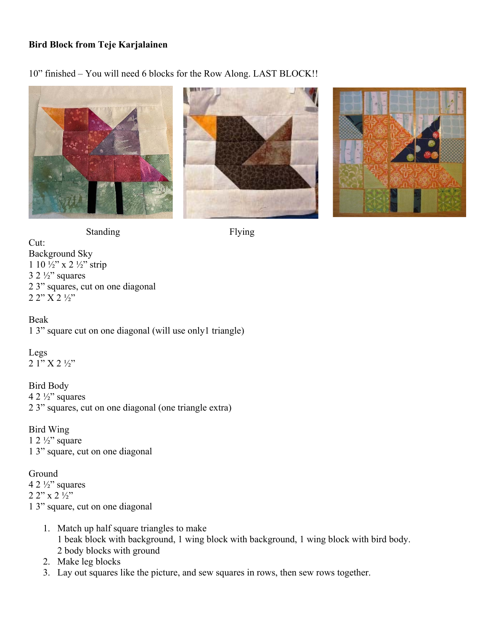## **Bird Block from Teje Karjalainen**

10" finished – You will need 6 blocks for the Row Along. LAST BLOCK!!







Standing Flying

Cut: Background Sky 1 10 ½" x 2 ½" strip  $3 \frac{2 \frac{1}{2}}{3}$  squares 2 3" squares, cut on one diagonal 2 2" X 2 ½"

Beak 1 3" square cut on one diagonal (will use only1 triangle)

Legs 2 1" X 2 ½"

Bird Body 4 2  $\frac{1}{2}$ " squares 2 3" squares, cut on one diagonal (one triangle extra)

Bird Wing  $1 \frac{2 \frac{1}{2}}{3}$  square 1 3" square, cut on one diagonal

## Ground

4 2  $\frac{1}{2}$ " squares 2 2" x 2 ½" 1 3" square, cut on one diagonal

- 1. Match up half square triangles to make 1 beak block with background, 1 wing block with background, 1 wing block with bird body. 2 body blocks with ground
- 2. Make leg blocks
- 3. Lay out squares like the picture, and sew squares in rows, then sew rows together.